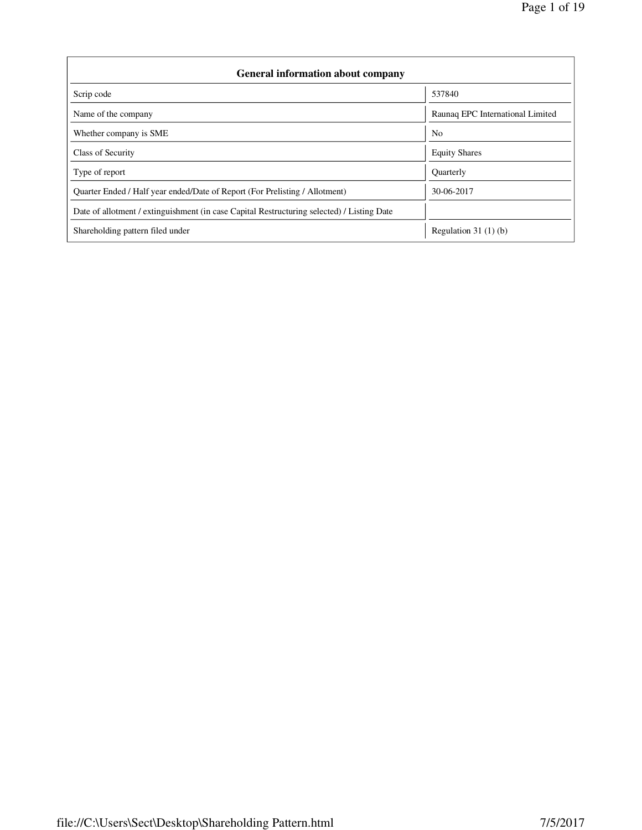| <b>General information about company</b>                                                   |                                  |  |  |  |  |  |
|--------------------------------------------------------------------------------------------|----------------------------------|--|--|--|--|--|
| Scrip code                                                                                 | 537840                           |  |  |  |  |  |
| Name of the company                                                                        | Raunaq EPC International Limited |  |  |  |  |  |
| Whether company is SME                                                                     | N <sub>0</sub>                   |  |  |  |  |  |
| Class of Security                                                                          | <b>Equity Shares</b>             |  |  |  |  |  |
| Type of report                                                                             | <b>Quarterly</b>                 |  |  |  |  |  |
| Ouarter Ended / Half year ended/Date of Report (For Prelisting / Allotment)                | 30-06-2017                       |  |  |  |  |  |
| Date of allotment / extinguishment (in case Capital Restructuring selected) / Listing Date |                                  |  |  |  |  |  |
| Shareholding pattern filed under                                                           | Regulation $31(1)(b)$            |  |  |  |  |  |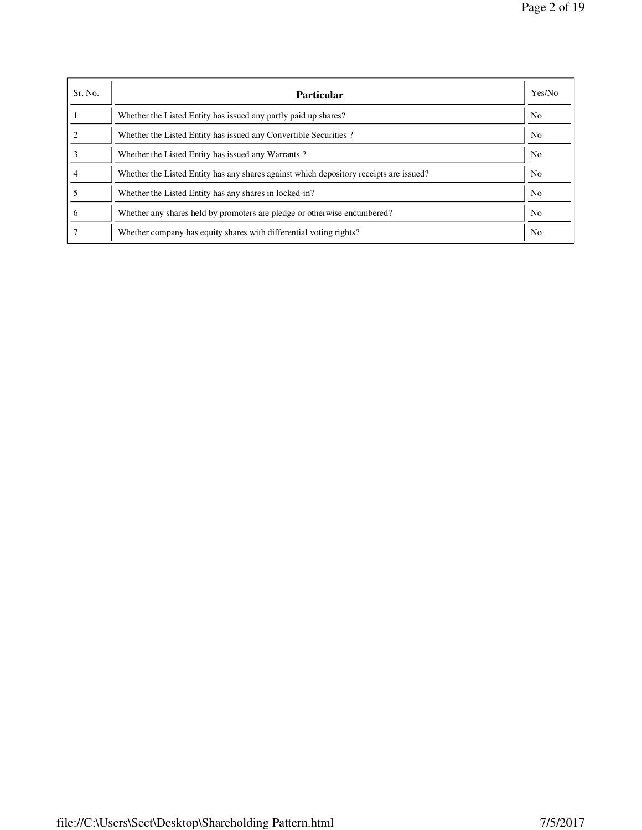| Sr. No.      | <b>Particular</b>                                                                      | Yes/No         |
|--------------|----------------------------------------------------------------------------------------|----------------|
|              | Whether the Listed Entity has issued any partly paid up shares?                        | N <sub>o</sub> |
|              | Whether the Listed Entity has issued any Convertible Securities?                       | N <sub>0</sub> |
|              | Whether the Listed Entity has issued any Warrants?                                     | N <sub>o</sub> |
|              | Whether the Listed Entity has any shares against which depository receipts are issued? | N <sub>o</sub> |
|              | Whether the Listed Entity has any shares in locked-in?                                 | N <sub>o</sub> |
| <sub>0</sub> | Whether any shares held by promoters are pledge or otherwise encumbered?               | N <sub>0</sub> |
|              | Whether company has equity shares with differential voting rights?                     | No             |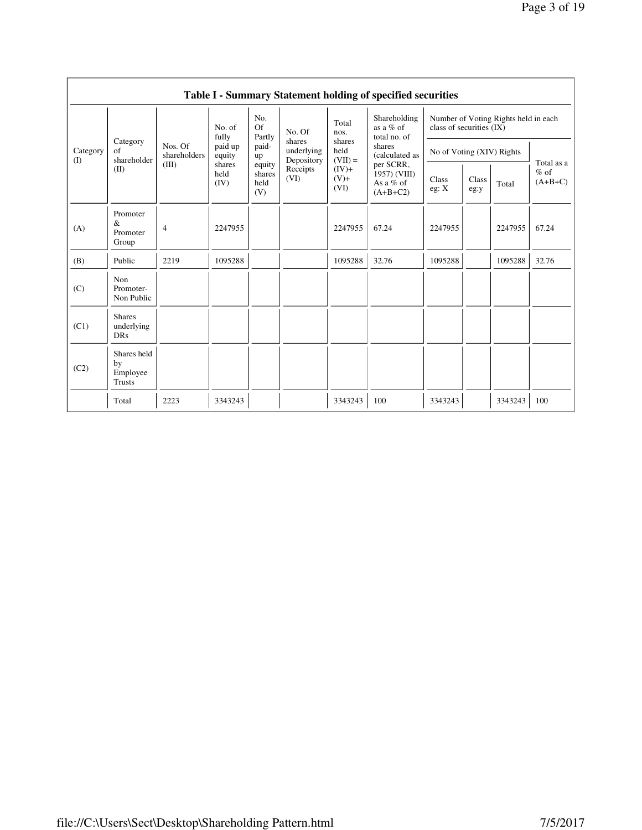|                 | Table I - Summary Statement holding of specified securities |                         |                                                                |                                                |                                                                  |                                                           |                                                                                                                                 |                                                                  |               |         |                                   |
|-----------------|-------------------------------------------------------------|-------------------------|----------------------------------------------------------------|------------------------------------------------|------------------------------------------------------------------|-----------------------------------------------------------|---------------------------------------------------------------------------------------------------------------------------------|------------------------------------------------------------------|---------------|---------|-----------------------------------|
|                 |                                                             |                         | No. of<br>fully<br>paid up<br>equity<br>shares<br>held<br>(IV) | No.<br>Of<br>Partly                            | No. Of<br>shares<br>underlying<br>Depository<br>Receipts<br>(VI) | Total<br>nos.                                             | Shareholding<br>as a % of<br>total no. of<br>shares<br>(calculated as<br>per SCRR,<br>1957) (VIII)<br>As a $%$ of<br>$(A+B+C2)$ | Number of Voting Rights held in each<br>class of securities (IX) |               |         |                                   |
| Category<br>(I) | Category<br>of<br>shareholder                               | Nos. Of<br>shareholders |                                                                | paid-<br>up<br>equity<br>shares<br>held<br>(V) |                                                                  | shares<br>held<br>$(VII) =$<br>$(IV)+$<br>$(V)$ +<br>(VI) |                                                                                                                                 | No of Voting (XIV) Rights                                        |               |         |                                   |
|                 | (II)                                                        | (III)                   |                                                                |                                                |                                                                  |                                                           |                                                                                                                                 | Class<br>eg: X                                                   | Class<br>eg:y | Total   | Total as a<br>$%$ of<br>$(A+B+C)$ |
| (A)             | Promoter<br>&<br>Promoter<br>Group                          | 4                       | 2247955                                                        |                                                |                                                                  | 2247955                                                   | 67.24                                                                                                                           | 2247955                                                          |               | 2247955 | 67.24                             |
| (B)             | Public                                                      | 2219                    | 1095288                                                        |                                                |                                                                  | 1095288                                                   | 32.76                                                                                                                           | 1095288                                                          |               | 1095288 | 32.76                             |
| (C)             | Non<br>Promoter-<br>Non Public                              |                         |                                                                |                                                |                                                                  |                                                           |                                                                                                                                 |                                                                  |               |         |                                   |
| (C1)            | <b>Shares</b><br>underlying<br><b>DRs</b>                   |                         |                                                                |                                                |                                                                  |                                                           |                                                                                                                                 |                                                                  |               |         |                                   |
| (C2)            | Shares held<br>by<br>Employee<br>Trusts                     |                         |                                                                |                                                |                                                                  |                                                           |                                                                                                                                 |                                                                  |               |         |                                   |
|                 | Total                                                       | 2223                    | 3343243                                                        |                                                |                                                                  | 3343243                                                   | 100                                                                                                                             | 3343243                                                          |               | 3343243 | 100                               |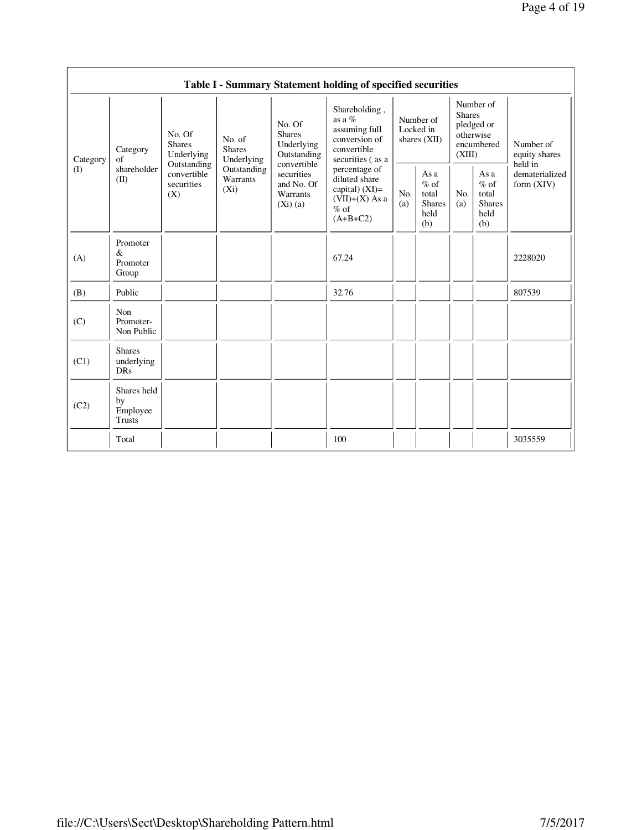| Page 4 of 19 |  |  |  |
|--------------|--|--|--|
|--------------|--|--|--|

|                 |                                                |                                                                                          |                                                                             |                                                                                                                        | Table I - Summary Statement holding of specified securities                                                                                                                                      |                                          |                                                         |                                                                               |                                                         |                                           |
|-----------------|------------------------------------------------|------------------------------------------------------------------------------------------|-----------------------------------------------------------------------------|------------------------------------------------------------------------------------------------------------------------|--------------------------------------------------------------------------------------------------------------------------------------------------------------------------------------------------|------------------------------------------|---------------------------------------------------------|-------------------------------------------------------------------------------|---------------------------------------------------------|-------------------------------------------|
| Category<br>(I) | Category<br>of<br>shareholder<br>(II)          | No. Of<br><b>Shares</b><br>Underlying<br>Outstanding<br>convertible<br>securities<br>(X) | No. of<br><b>Shares</b><br>Underlying<br>Outstanding<br>Warrants<br>$(X_i)$ | No. Of<br><b>Shares</b><br>Underlying<br>Outstanding<br>convertible<br>securities<br>and No. Of<br>Warrants<br>(Xi)(a) | Shareholding,<br>as a $%$<br>assuming full<br>conversion of<br>convertible<br>securities (as a<br>percentage of<br>diluted share<br>capital) $(XI)=$<br>$(VII)+(X)$ As a<br>$%$ of<br>$(A+B+C2)$ | Number of<br>Locked in<br>shares $(XII)$ |                                                         | Number of<br><b>Shares</b><br>pledged or<br>otherwise<br>encumbered<br>(XIII) |                                                         | Number of<br>equity shares                |
|                 |                                                |                                                                                          |                                                                             |                                                                                                                        |                                                                                                                                                                                                  | No.<br>(a)                               | As a<br>$%$ of<br>total<br><b>Shares</b><br>held<br>(b) | No.<br>(a)                                                                    | As a<br>$%$ of<br>total<br><b>Shares</b><br>held<br>(b) | held in<br>dematerialized<br>form $(XIV)$ |
| (A)             | Promoter<br>$\&$<br>Promoter<br>Group          |                                                                                          |                                                                             |                                                                                                                        | 67.24                                                                                                                                                                                            |                                          |                                                         |                                                                               |                                                         | 2228020                                   |
| (B)             | Public                                         |                                                                                          |                                                                             |                                                                                                                        | 32.76                                                                                                                                                                                            |                                          |                                                         |                                                                               |                                                         | 807539                                    |
| (C)             | Non<br>Promoter-<br>Non Public                 |                                                                                          |                                                                             |                                                                                                                        |                                                                                                                                                                                                  |                                          |                                                         |                                                                               |                                                         |                                           |
| (C1)            | <b>Shares</b><br>underlying<br><b>DRs</b>      |                                                                                          |                                                                             |                                                                                                                        |                                                                                                                                                                                                  |                                          |                                                         |                                                                               |                                                         |                                           |
| (C2)            | Shares held<br>by<br>Employee<br><b>Trusts</b> |                                                                                          |                                                                             |                                                                                                                        |                                                                                                                                                                                                  |                                          |                                                         |                                                                               |                                                         |                                           |
|                 | Total                                          |                                                                                          |                                                                             |                                                                                                                        | 100                                                                                                                                                                                              |                                          |                                                         |                                                                               |                                                         | 3035559                                   |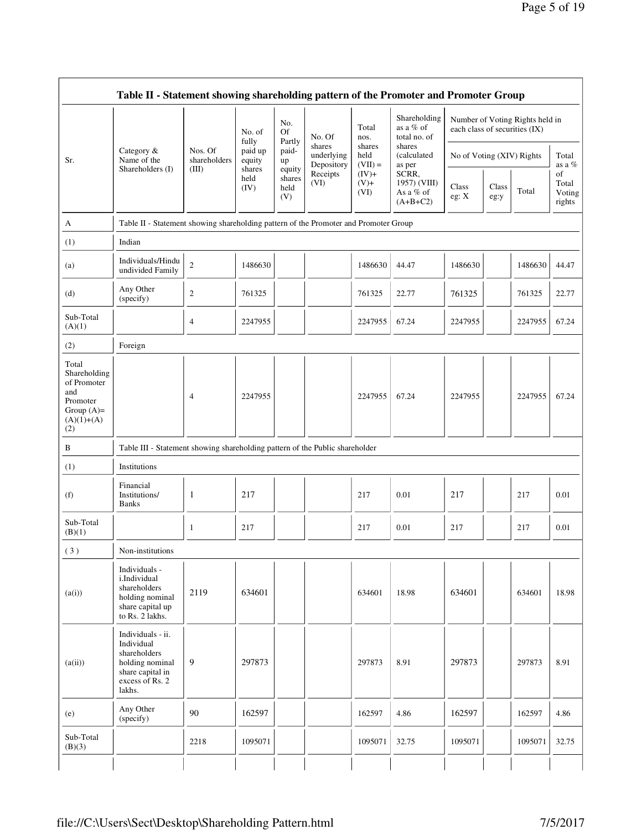|                                                                                                | Table II - Statement showing shareholding pattern of the Promoter and Promoter Group                                |                                                                                      |                        |                                 |                                    |                             |                                                  |                               |               |                                 |                                 |
|------------------------------------------------------------------------------------------------|---------------------------------------------------------------------------------------------------------------------|--------------------------------------------------------------------------------------|------------------------|---------------------------------|------------------------------------|-----------------------------|--------------------------------------------------|-------------------------------|---------------|---------------------------------|---------------------------------|
|                                                                                                |                                                                                                                     |                                                                                      | No. of<br>fully        | No.<br><b>Of</b>                | No. Of                             | Total<br>nos.               | Shareholding<br>as a % of<br>total no. of        | each class of securities (IX) |               | Number of Voting Rights held in |                                 |
| Sr.                                                                                            | Category &<br>Name of the                                                                                           | Nos. Of<br>shareholders                                                              | paid up<br>equity      | Partly<br>paid-<br>up           | shares<br>underlying<br>Depository | shares<br>held<br>$(VII) =$ | shares<br>(calculated<br>as per                  | No of Voting (XIV) Rights     |               |                                 | Total<br>as a %                 |
|                                                                                                | Shareholders (I)                                                                                                    | (III)                                                                                | shares<br>held<br>(IV) | equity<br>shares<br>held<br>(V) | Receipts<br>(VI)                   | $(IV)+$<br>$(V) +$<br>(VI)  | SCRR,<br>1957) (VIII)<br>As a % of<br>$(A+B+C2)$ | Class<br>eg: X                | Class<br>eg:y | Total                           | of<br>Total<br>Voting<br>rights |
| A                                                                                              |                                                                                                                     | Table II - Statement showing shareholding pattern of the Promoter and Promoter Group |                        |                                 |                                    |                             |                                                  |                               |               |                                 |                                 |
| (1)                                                                                            | Indian                                                                                                              |                                                                                      |                        |                                 |                                    |                             |                                                  |                               |               |                                 |                                 |
| (a)                                                                                            | Individuals/Hindu<br>undivided Family                                                                               | $\sqrt{2}$                                                                           | 1486630                |                                 |                                    | 1486630                     | 44.47                                            | 1486630                       |               | 1486630                         | 44.47                           |
| (d)                                                                                            | Any Other<br>(specify)                                                                                              | $\overline{c}$                                                                       | 761325                 |                                 |                                    | 761325                      | 22.77                                            | 761325                        |               | 761325                          | 22.77                           |
| Sub-Total<br>(A)(1)                                                                            |                                                                                                                     | $\overline{4}$                                                                       | 2247955                |                                 |                                    | 2247955                     | 67.24                                            | 2247955                       |               | 2247955                         | 67.24                           |
| (2)                                                                                            | Foreign                                                                                                             |                                                                                      |                        |                                 |                                    |                             |                                                  |                               |               |                                 |                                 |
| Total<br>Shareholding<br>of Promoter<br>and<br>Promoter<br>Group $(A)=$<br>$(A)(1)+(A)$<br>(2) |                                                                                                                     | $\overline{4}$                                                                       | 2247955                |                                 |                                    | 2247955                     | 67.24                                            | 2247955                       |               | 2247955                         | 67.24                           |
| $\, {\bf B}$                                                                                   | Table III - Statement showing shareholding pattern of the Public shareholder                                        |                                                                                      |                        |                                 |                                    |                             |                                                  |                               |               |                                 |                                 |
| (1)                                                                                            | Institutions                                                                                                        |                                                                                      |                        |                                 |                                    |                             |                                                  |                               |               |                                 |                                 |
| (f)                                                                                            | Financial<br>Institutions/<br><b>Banks</b>                                                                          | 1                                                                                    | 217                    |                                 |                                    | 217                         | 0.01                                             | 217                           |               | 217                             | 0.01                            |
| Sub-Total<br>(B)(1)                                                                            |                                                                                                                     | 1                                                                                    | 217                    |                                 |                                    | 217                         | 0.01                                             | 217                           |               | 217                             | 0.01                            |
| (3)                                                                                            | Non-institutions                                                                                                    |                                                                                      |                        |                                 |                                    |                             |                                                  |                               |               |                                 |                                 |
| (a(i))                                                                                         | Individuals -<br>i.Individual<br>shareholders<br>holding nominal<br>share capital up<br>to Rs. 2 lakhs.             | 2119                                                                                 | 634601                 |                                 |                                    | 634601                      | 18.98                                            | 634601                        |               | 634601                          | 18.98                           |
| (a(ii))                                                                                        | Individuals - ii.<br>Individual<br>shareholders<br>holding nominal<br>share capital in<br>excess of Rs. 2<br>lakhs. | 9                                                                                    | 297873                 |                                 |                                    | 297873                      | 8.91                                             | 297873                        |               | 297873                          | 8.91                            |
| (e)                                                                                            | Any Other<br>(specify)                                                                                              | 90                                                                                   | 162597                 |                                 |                                    | 162597                      | 4.86                                             | 162597                        |               | 162597                          | 4.86                            |
| Sub-Total<br>(B)(3)                                                                            |                                                                                                                     | 2218                                                                                 | 1095071                |                                 |                                    | 1095071                     | 32.75                                            | 1095071                       |               | 1095071                         | 32.75                           |
|                                                                                                |                                                                                                                     |                                                                                      |                        |                                 |                                    |                             |                                                  |                               |               |                                 |                                 |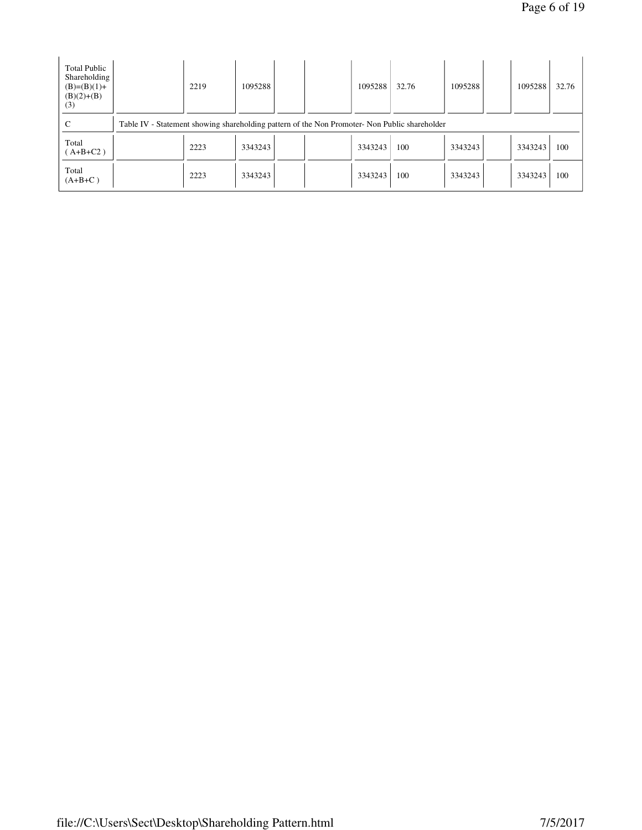| <b>Total Public</b><br>Shareholding<br>$(B)=(B)(1)+$<br>$(B)(2)+(B)$<br>(3) |                                                                                               | 2219 | 1095288 |  |  | 1095288 | 32.76 | 1095288 |  | 1095288 | 32.76 |
|-----------------------------------------------------------------------------|-----------------------------------------------------------------------------------------------|------|---------|--|--|---------|-------|---------|--|---------|-------|
| C                                                                           | Table IV - Statement showing shareholding pattern of the Non Promoter- Non Public shareholder |      |         |  |  |         |       |         |  |         |       |
| Total<br>$(A+B+C2)$                                                         |                                                                                               | 2223 | 3343243 |  |  | 3343243 | 100   | 3343243 |  | 3343243 | 100   |
| Total<br>$(A+B+C)$                                                          |                                                                                               | 2223 | 3343243 |  |  | 3343243 | 100   | 3343243 |  | 3343243 | 100   |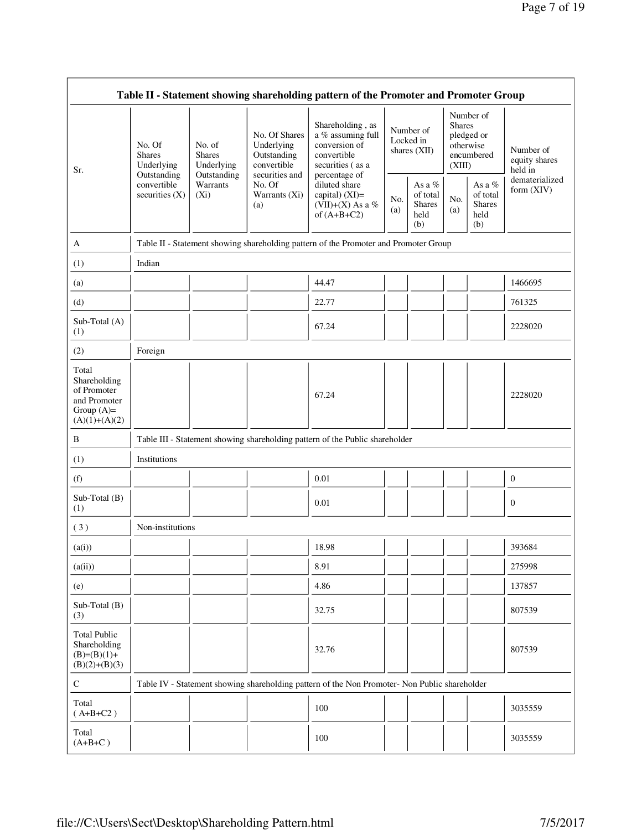|                                                                                         |                                                                                         |                                                                             |                                                                             | Table II - Statement showing shareholding pattern of the Promoter and Promoter Group                                                                                               |            |                                                    |                                                                               |                                                       |                                       |
|-----------------------------------------------------------------------------------------|-----------------------------------------------------------------------------------------|-----------------------------------------------------------------------------|-----------------------------------------------------------------------------|------------------------------------------------------------------------------------------------------------------------------------------------------------------------------------|------------|----------------------------------------------------|-------------------------------------------------------------------------------|-------------------------------------------------------|---------------------------------------|
| Sr.                                                                                     | No. Of<br><b>Shares</b><br>Underlying<br>Outstanding<br>convertible<br>securities $(X)$ | No. of<br><b>Shares</b><br>Underlying<br>Outstanding<br>Warrants<br>$(X_i)$ | No. Of Shares<br>Underlying<br>Outstanding<br>convertible<br>securities and | Shareholding, as<br>a % assuming full<br>conversion of<br>convertible<br>securities (as a<br>percentage of<br>diluted share<br>capital) (XI)=<br>(VII)+(X) As a %<br>of $(A+B+C2)$ |            | Number of<br>Locked in<br>shares (XII)             | Number of<br><b>Shares</b><br>pledged or<br>otherwise<br>encumbered<br>(XIII) |                                                       | Number of<br>equity shares<br>held in |
|                                                                                         |                                                                                         |                                                                             | No. Of<br>Warrants (Xi)<br>(a)                                              |                                                                                                                                                                                    | No.<br>(a) | As a %<br>of total<br><b>Shares</b><br>held<br>(b) | No.<br>(a)                                                                    | As a $\%$<br>of total<br><b>Shares</b><br>held<br>(b) | dematerialized<br>form (XIV)          |
| A                                                                                       |                                                                                         |                                                                             |                                                                             | Table II - Statement showing shareholding pattern of the Promoter and Promoter Group                                                                                               |            |                                                    |                                                                               |                                                       |                                       |
| (1)                                                                                     | Indian                                                                                  |                                                                             |                                                                             |                                                                                                                                                                                    |            |                                                    |                                                                               |                                                       |                                       |
| (a)                                                                                     |                                                                                         |                                                                             |                                                                             | 44.47                                                                                                                                                                              |            |                                                    |                                                                               |                                                       | 1466695                               |
| (d)                                                                                     |                                                                                         |                                                                             |                                                                             | 22.77                                                                                                                                                                              |            |                                                    |                                                                               |                                                       | 761325                                |
| Sub-Total (A)<br>(1)                                                                    |                                                                                         |                                                                             |                                                                             | 67.24                                                                                                                                                                              |            |                                                    |                                                                               |                                                       | 2228020                               |
| (2)                                                                                     | Foreign                                                                                 |                                                                             |                                                                             |                                                                                                                                                                                    |            |                                                    |                                                                               |                                                       |                                       |
| Total<br>Shareholding<br>of Promoter<br>and Promoter<br>Group $(A)=$<br>$(A)(1)+(A)(2)$ |                                                                                         |                                                                             |                                                                             | 67.24                                                                                                                                                                              |            |                                                    |                                                                               |                                                       | 2228020                               |
| B                                                                                       |                                                                                         |                                                                             |                                                                             | Table III - Statement showing shareholding pattern of the Public shareholder                                                                                                       |            |                                                    |                                                                               |                                                       |                                       |
| (1)                                                                                     | Institutions                                                                            |                                                                             |                                                                             |                                                                                                                                                                                    |            |                                                    |                                                                               |                                                       |                                       |
| (f)                                                                                     |                                                                                         |                                                                             |                                                                             | 0.01                                                                                                                                                                               |            |                                                    |                                                                               |                                                       | $\mathbf{0}$                          |
| Sub-Total (B)<br>(1)                                                                    |                                                                                         |                                                                             |                                                                             | 0.01                                                                                                                                                                               |            |                                                    |                                                                               |                                                       | $\mathbf{0}$                          |
| (3)                                                                                     | Non-institutions                                                                        |                                                                             |                                                                             |                                                                                                                                                                                    |            |                                                    |                                                                               |                                                       |                                       |
| (a(i))                                                                                  |                                                                                         |                                                                             |                                                                             | 18.98                                                                                                                                                                              |            |                                                    |                                                                               |                                                       | 393684                                |
| (a(ii))                                                                                 |                                                                                         |                                                                             |                                                                             | 8.91                                                                                                                                                                               |            |                                                    |                                                                               |                                                       | 275998                                |
| (e)                                                                                     |                                                                                         |                                                                             |                                                                             | 4.86                                                                                                                                                                               |            |                                                    |                                                                               |                                                       | 137857                                |
| Sub-Total (B)<br>(3)                                                                    |                                                                                         |                                                                             |                                                                             | 32.75                                                                                                                                                                              |            |                                                    |                                                                               |                                                       | 807539                                |
| <b>Total Public</b><br>Shareholding<br>$(B)=(B)(1)+$<br>$(B)(2)+(B)(3)$                 |                                                                                         |                                                                             |                                                                             | 32.76                                                                                                                                                                              |            |                                                    |                                                                               |                                                       | 807539                                |
| ${\bf C}$                                                                               |                                                                                         |                                                                             |                                                                             | Table IV - Statement showing shareholding pattern of the Non Promoter- Non Public shareholder                                                                                      |            |                                                    |                                                                               |                                                       |                                       |
| Total<br>$(A+B+C2)$                                                                     |                                                                                         |                                                                             |                                                                             | 100                                                                                                                                                                                |            |                                                    |                                                                               |                                                       | 3035559                               |
| Total<br>$(A+B+C)$                                                                      |                                                                                         |                                                                             |                                                                             | 100                                                                                                                                                                                |            |                                                    |                                                                               |                                                       | 3035559                               |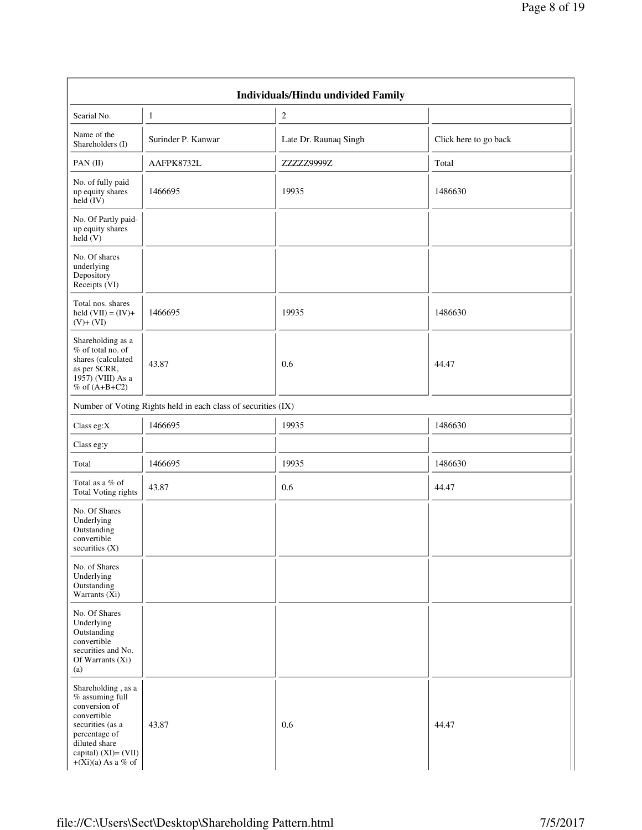| <b>Individuals/Hindu undivided Family</b>                                                                                                                                        |                                                               |                       |                       |  |  |  |  |  |  |
|----------------------------------------------------------------------------------------------------------------------------------------------------------------------------------|---------------------------------------------------------------|-----------------------|-----------------------|--|--|--|--|--|--|
| Searial No.                                                                                                                                                                      | $\mathbf{1}$                                                  | $\sqrt{2}$            |                       |  |  |  |  |  |  |
| Name of the<br>Shareholders (I)                                                                                                                                                  | Surinder P. Kanwar                                            | Late Dr. Raunaq Singh | Click here to go back |  |  |  |  |  |  |
| $PAN$ (II)                                                                                                                                                                       | AAFPK8732L                                                    | ZZZZZ9999Z            | Total                 |  |  |  |  |  |  |
| No. of fully paid<br>up equity shares<br>$\text{held} (IV)$                                                                                                                      | 1466695                                                       | 19935                 | 1486630               |  |  |  |  |  |  |
| No. Of Partly paid-<br>up equity shares<br>held(V)                                                                                                                               |                                                               |                       |                       |  |  |  |  |  |  |
| No. Of shares<br>underlying<br>Depository<br>Receipts (VI)                                                                                                                       |                                                               |                       |                       |  |  |  |  |  |  |
| Total nos. shares<br>held $(VII) = (IV) +$<br>$(V)+(VI)$                                                                                                                         | 1466695                                                       | 19935                 | 1486630               |  |  |  |  |  |  |
| Shareholding as a<br>% of total no. of<br>shares (calculated<br>as per SCRR,<br>1957) (VIII) As a<br>% of $(A+B+C2)$                                                             | 43.87                                                         | 0.6                   | 44.47                 |  |  |  |  |  |  |
|                                                                                                                                                                                  | Number of Voting Rights held in each class of securities (IX) |                       |                       |  |  |  |  |  |  |
| Class eg:X                                                                                                                                                                       | 1466695                                                       | 19935                 | 1486630               |  |  |  |  |  |  |
| Class eg:y                                                                                                                                                                       |                                                               |                       |                       |  |  |  |  |  |  |
| Total                                                                                                                                                                            | 1466695                                                       | 19935                 | 1486630               |  |  |  |  |  |  |
| Total as a % of<br><b>Total Voting rights</b>                                                                                                                                    | 43.87                                                         | 0.6                   | 44.47                 |  |  |  |  |  |  |
| No. Of Shares<br>Underlying<br>Outstanding<br>convertible<br>securities $(X)$                                                                                                    |                                                               |                       |                       |  |  |  |  |  |  |
| No. of Shares<br>Underlying<br>Outstanding<br>Warrants $(Xi)$                                                                                                                    |                                                               |                       |                       |  |  |  |  |  |  |
| No. Of Shares<br>Underlying<br>Outstanding<br>convertible<br>securities and No.<br>Of Warrants (Xi)<br>(a)                                                                       |                                                               |                       |                       |  |  |  |  |  |  |
| Shareholding, as a<br>$%$ assuming full<br>conversion of<br>convertible<br>securities (as a<br>percentage of<br>diluted share<br>capital) $(XI) = (VII)$<br>$+(Xi)(a)$ As a % of | 43.87                                                         | 0.6                   | 44.47                 |  |  |  |  |  |  |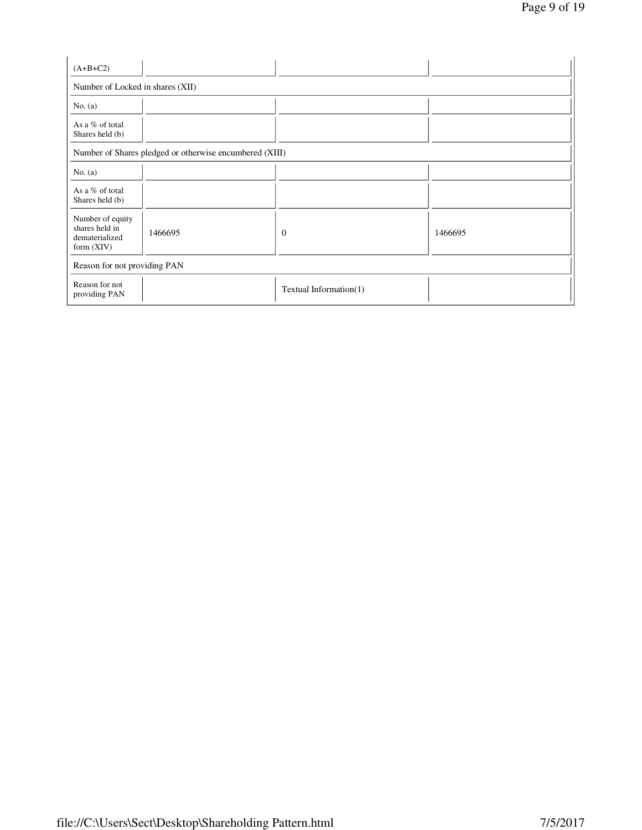| $(A+B+C2)$                                                           |         |                        |         |  |  |  |  |  |
|----------------------------------------------------------------------|---------|------------------------|---------|--|--|--|--|--|
| Number of Locked in shares (XII)                                     |         |                        |         |  |  |  |  |  |
| No. (a)                                                              |         |                        |         |  |  |  |  |  |
| As a % of total<br>Shares held (b)                                   |         |                        |         |  |  |  |  |  |
| Number of Shares pledged or otherwise encumbered (XIII)              |         |                        |         |  |  |  |  |  |
| No. $(a)$                                                            |         |                        |         |  |  |  |  |  |
| As a % of total<br>Shares held (b)                                   |         |                        |         |  |  |  |  |  |
| Number of equity<br>shares held in<br>dematerialized<br>form $(XIV)$ | 1466695 | $\theta$               | 1466695 |  |  |  |  |  |
| Reason for not providing PAN                                         |         |                        |         |  |  |  |  |  |
| Reason for not<br>providing PAN                                      |         | Textual Information(1) |         |  |  |  |  |  |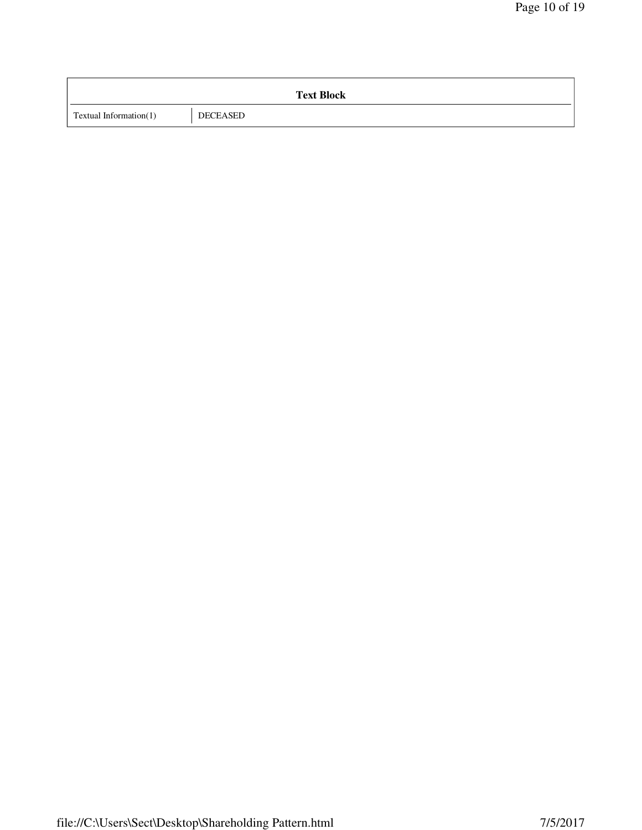|                        | <b>Text Block</b> |
|------------------------|-------------------|
| Textual Information(1) | DECEASED          |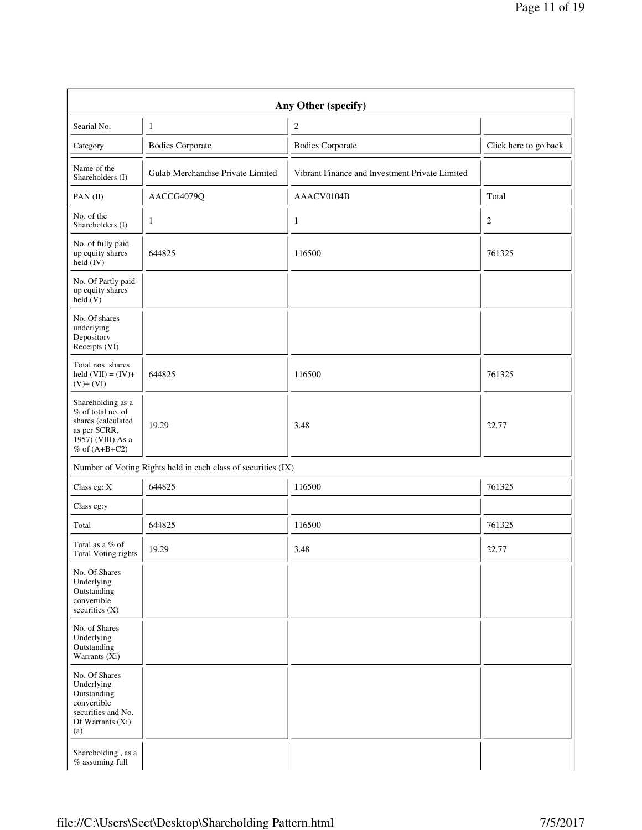| Any Other (specify)                                                                                                    |                                                               |                                                |                       |  |  |  |  |  |  |
|------------------------------------------------------------------------------------------------------------------------|---------------------------------------------------------------|------------------------------------------------|-----------------------|--|--|--|--|--|--|
| Searial No.                                                                                                            | $\mathbf{1}$                                                  | $\boldsymbol{2}$                               |                       |  |  |  |  |  |  |
| Category                                                                                                               | <b>Bodies Corporate</b>                                       | <b>Bodies Corporate</b>                        | Click here to go back |  |  |  |  |  |  |
| Name of the<br>Shareholders (I)                                                                                        | Gulab Merchandise Private Limited                             | Vibrant Finance and Investment Private Limited |                       |  |  |  |  |  |  |
| PAN(II)                                                                                                                | AACCG4079Q                                                    | AAACV0104B                                     | Total                 |  |  |  |  |  |  |
| No. of the<br>Shareholders (I)                                                                                         | $\mathbf{1}$                                                  | 1                                              | $\boldsymbol{2}$      |  |  |  |  |  |  |
| No. of fully paid<br>up equity shares<br>held (IV)                                                                     | 644825                                                        | 116500                                         | 761325                |  |  |  |  |  |  |
| No. Of Partly paid-<br>up equity shares<br>held(V)                                                                     |                                                               |                                                |                       |  |  |  |  |  |  |
| No. Of shares<br>underlying<br>Depository<br>Receipts (VI)                                                             |                                                               |                                                |                       |  |  |  |  |  |  |
| Total nos. shares<br>held $(VII) = (IV) +$<br>$(V)+ (VI)$                                                              | 644825                                                        | 116500                                         | 761325                |  |  |  |  |  |  |
| Shareholding as a<br>% of total no. of<br>shares (calculated<br>as per SCRR,<br>1957) (VIII) As a<br>$%$ of $(A+B+C2)$ | 19.29                                                         | 3.48                                           | 22.77                 |  |  |  |  |  |  |
|                                                                                                                        | Number of Voting Rights held in each class of securities (IX) |                                                |                       |  |  |  |  |  |  |
| Class eg: X                                                                                                            | 644825                                                        | 116500                                         | 761325                |  |  |  |  |  |  |
| Class eg:y                                                                                                             |                                                               |                                                |                       |  |  |  |  |  |  |
| Total                                                                                                                  | 644825                                                        | 116500                                         | 761325                |  |  |  |  |  |  |
| Total as a $\%$ of<br>Total Voting rights                                                                              | 19.29                                                         | 3.48                                           | 22.77                 |  |  |  |  |  |  |
| No. Of Shares<br>Underlying<br>Outstanding<br>convertible<br>securities $(X)$                                          |                                                               |                                                |                       |  |  |  |  |  |  |
| No. of Shares<br>Underlying<br>Outstanding<br>Warrants $(Xi)$                                                          |                                                               |                                                |                       |  |  |  |  |  |  |
| No. Of Shares<br>Underlying<br>Outstanding<br>convertible<br>securities and No.<br>Of Warrants (Xi)<br>(a)             |                                                               |                                                |                       |  |  |  |  |  |  |
| Shareholding, as a<br>% assuming full                                                                                  |                                                               |                                                |                       |  |  |  |  |  |  |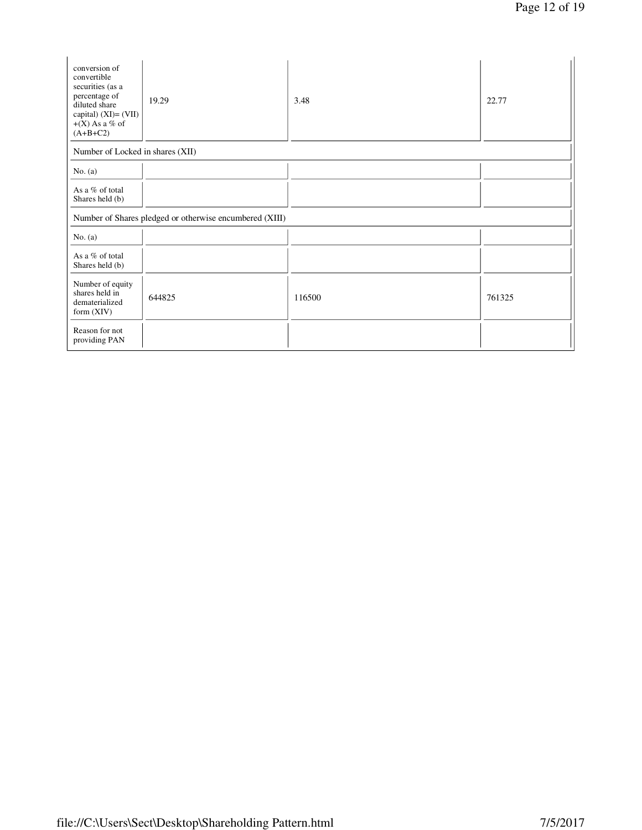| conversion of<br>convertible<br>securities (as a<br>percentage of<br>diluted share<br>capital) $(XI) = (VII)$<br>$+(X)$ As a % of<br>$(A+B+C2)$ | 19.29  | 3.48   | 22.77  |  |
|-------------------------------------------------------------------------------------------------------------------------------------------------|--------|--------|--------|--|
| Number of Locked in shares (XII)                                                                                                                |        |        |        |  |
| No. (a)                                                                                                                                         |        |        |        |  |
| As a % of total<br>Shares held (b)                                                                                                              |        |        |        |  |
| Number of Shares pledged or otherwise encumbered (XIII)                                                                                         |        |        |        |  |
| No. $(a)$                                                                                                                                       |        |        |        |  |
| As a $%$ of total<br>Shares held (b)                                                                                                            |        |        |        |  |
| Number of equity<br>shares held in<br>dematerialized<br>form $(XIV)$                                                                            | 644825 | 116500 | 761325 |  |
| Reason for not<br>providing PAN                                                                                                                 |        |        |        |  |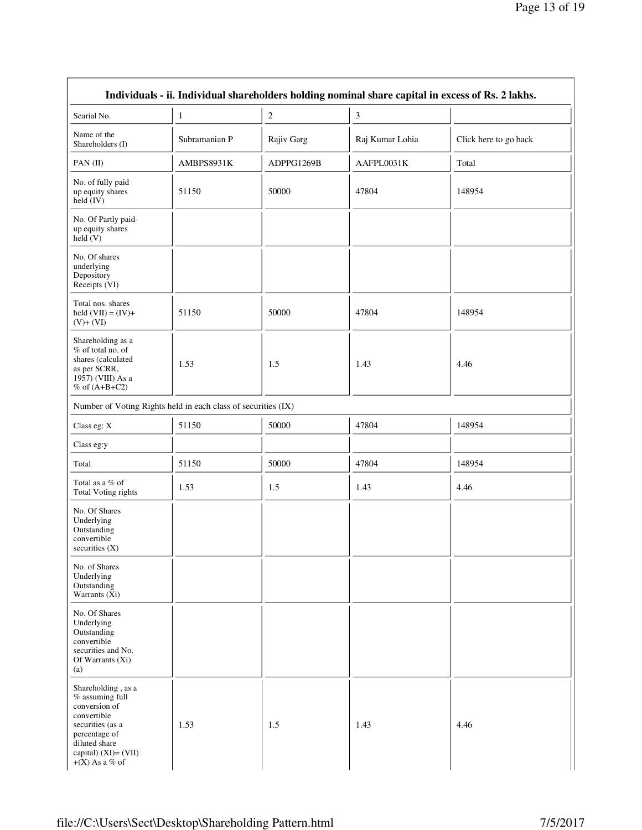| Individuals - ii. Individual shareholders holding nominal share capital in excess of Rs. 2 lakhs.                                                                            |               |                  |                 |                       |
|------------------------------------------------------------------------------------------------------------------------------------------------------------------------------|---------------|------------------|-----------------|-----------------------|
| Searial No.                                                                                                                                                                  | $\mathbf{1}$  | $\boldsymbol{2}$ | $\mathfrak{Z}$  |                       |
| Name of the<br>Shareholders (I)                                                                                                                                              | Subramanian P | Rajiv Garg       | Raj Kumar Lohia | Click here to go back |
| PAN(II)                                                                                                                                                                      | AMBPS8931K    | ADPPG1269B       | AAFPL0031K      | Total                 |
| No. of fully paid<br>up equity shares<br>held $(IV)$                                                                                                                         | 51150         | 50000            | 47804           | 148954                |
| No. Of Partly paid-<br>up equity shares<br>held (V)                                                                                                                          |               |                  |                 |                       |
| No. Of shares<br>underlying<br>Depository<br>Receipts (VI)                                                                                                                   |               |                  |                 |                       |
| Total nos. shares<br>held $(VII) = (IV) +$<br>$(V)+(VI)$                                                                                                                     | 51150         | 50000            | 47804           | 148954                |
| Shareholding as a<br>% of total no. of<br>shares (calculated<br>as per SCRR,<br>1957) (VIII) As a<br>$%$ of $(A+B+C2)$                                                       | 1.53          | 1.5              | 1.43            | 4.46                  |
| Number of Voting Rights held in each class of securities (IX)                                                                                                                |               |                  |                 |                       |
| Class eg: X                                                                                                                                                                  | 51150         | 50000            | 47804           | 148954                |
| Class eg:y                                                                                                                                                                   |               |                  |                 |                       |
| Total                                                                                                                                                                        | 51150         | 50000            | 47804           | 148954                |
| Total as a $\%$ of<br>Total Voting rights                                                                                                                                    | 1.53          | 1.5              | 1.43            | 4.46                  |
| No. Of Shares<br>Underlying<br>Outstanding<br>convertible<br>securities $(X)$                                                                                                |               |                  |                 |                       |
| No. of Shares<br>Underlying<br>Outstanding<br>Warrants (Xi)                                                                                                                  |               |                  |                 |                       |
| No. Of Shares<br>Underlying<br>Outstanding<br>convertible<br>securities and No.<br>Of Warrants (Xi)<br>(a)                                                                   |               |                  |                 |                       |
| Shareholding, as a<br>$%$ assuming full<br>conversion of<br>convertible<br>securities (as a<br>percentage of<br>diluted share<br>capital) $(XI) = (VII)$<br>$+(X)$ As a % of | 1.53          | 1.5              | 1.43            | 4.46                  |

 $\overline{1}$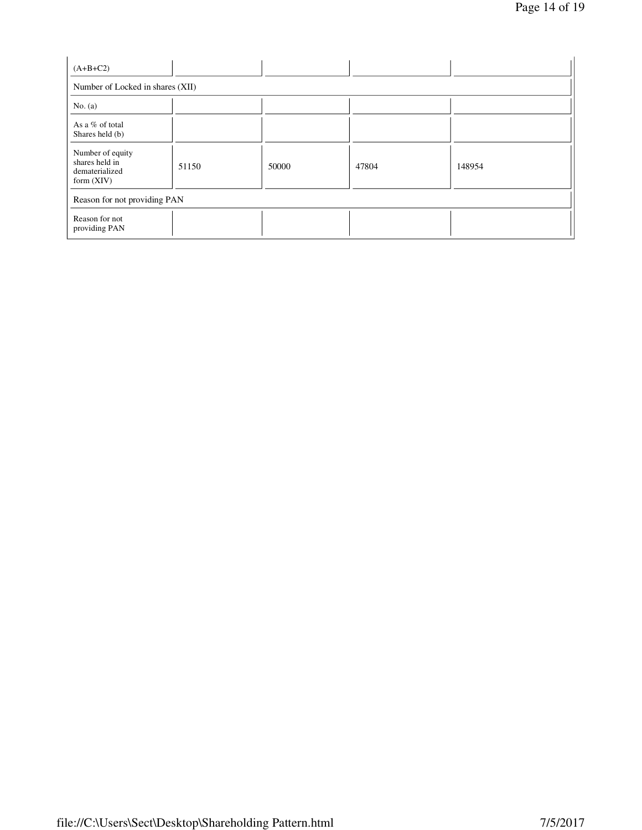| $(A+B+C2)$                                                           |       |       |       |        |
|----------------------------------------------------------------------|-------|-------|-------|--------|
| Number of Locked in shares (XII)                                     |       |       |       |        |
| No. $(a)$                                                            |       |       |       |        |
| As a % of total<br>Shares held (b)                                   |       |       |       |        |
| Number of equity<br>shares held in<br>dematerialized<br>form $(XIV)$ | 51150 | 50000 | 47804 | 148954 |
| Reason for not providing PAN                                         |       |       |       |        |
| Reason for not<br>providing PAN                                      |       |       |       |        |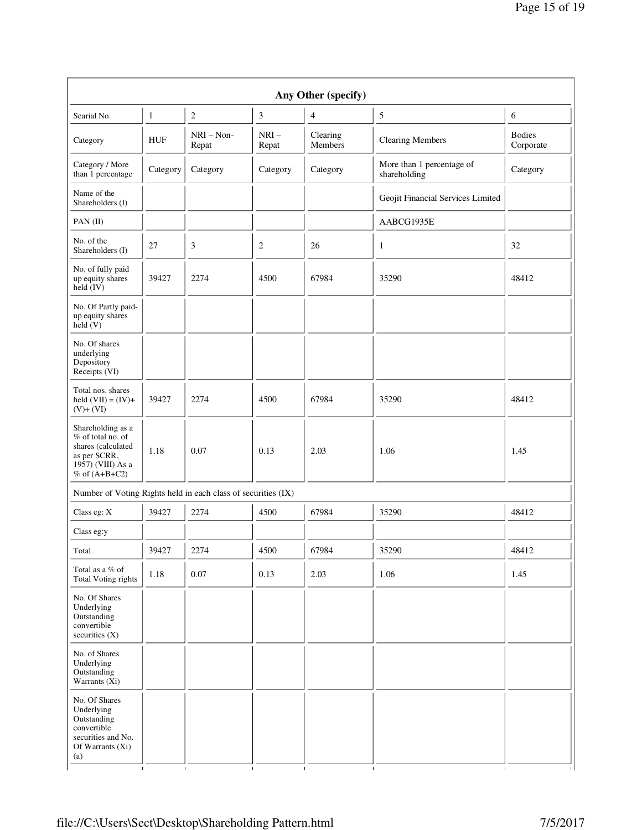| Any Other (specify)                                                                                                    |            |                       |                 |                     |                                           |                            |
|------------------------------------------------------------------------------------------------------------------------|------------|-----------------------|-----------------|---------------------|-------------------------------------------|----------------------------|
| Searial No.                                                                                                            | 1          | $\overline{c}$        | 3               | 4                   | 5                                         | 6                          |
| Category                                                                                                               | <b>HUF</b> | $NRI - Non-$<br>Repat | $NRI-$<br>Repat | Clearing<br>Members | <b>Clearing Members</b>                   | <b>Bodies</b><br>Corporate |
| Category / More<br>than 1 percentage                                                                                   | Category   | Category              | Category        | Category            | More than 1 percentage of<br>shareholding | Category                   |
| Name of the<br>Shareholders (I)                                                                                        |            |                       |                 |                     | Geojit Financial Services Limited         |                            |
| PAN (II)                                                                                                               |            |                       |                 |                     | AABCG1935E                                |                            |
| No. of the<br>Shareholders (I)                                                                                         | 27         | 3                     | 2               | 26                  | $\mathbf{1}$                              | 32                         |
| No. of fully paid<br>up equity shares<br>held (IV)                                                                     | 39427      | 2274                  | 4500            | 67984               | 35290                                     | 48412                      |
| No. Of Partly paid-<br>up equity shares<br>held(V)                                                                     |            |                       |                 |                     |                                           |                            |
| No. Of shares<br>underlying<br>Depository<br>Receipts (VI)                                                             |            |                       |                 |                     |                                           |                            |
| Total nos. shares<br>held $(VII) = (IV) +$<br>$(V)+(VI)$                                                               | 39427      | 2274                  | 4500            | 67984               | 35290                                     | 48412                      |
| Shareholding as a<br>% of total no. of<br>shares (calculated<br>as per SCRR,<br>1957) (VIII) As a<br>$%$ of $(A+B+C2)$ | 1.18       | 0.07                  | 0.13            | 2.03                | 1.06                                      | 1.45                       |
| Number of Voting Rights held in each class of securities (IX)                                                          |            |                       |                 |                     |                                           |                            |
| Class eg: X                                                                                                            | 39427      | 2274                  | 4500            | 67984               | 35290                                     | 48412                      |
| Class eg:y                                                                                                             |            |                       |                 |                     |                                           |                            |
| Total                                                                                                                  | 39427      | 2274                  | 4500            | 67984               | 35290                                     | 48412                      |
| Total as a % of<br><b>Total Voting rights</b>                                                                          | 1.18       | $0.07\,$              | 0.13            | 2.03                | 1.06                                      | 1.45                       |
| No. Of Shares<br>Underlying<br>Outstanding<br>convertible<br>securities (X)                                            |            |                       |                 |                     |                                           |                            |
| No. of Shares<br>Underlying<br>Outstanding<br>Warrants (Xi)                                                            |            |                       |                 |                     |                                           |                            |
| No. Of Shares<br>Underlying<br>Outstanding<br>convertible<br>securities and No.<br>Of Warrants $(X_i)$<br>(a)          |            |                       |                 |                     |                                           |                            |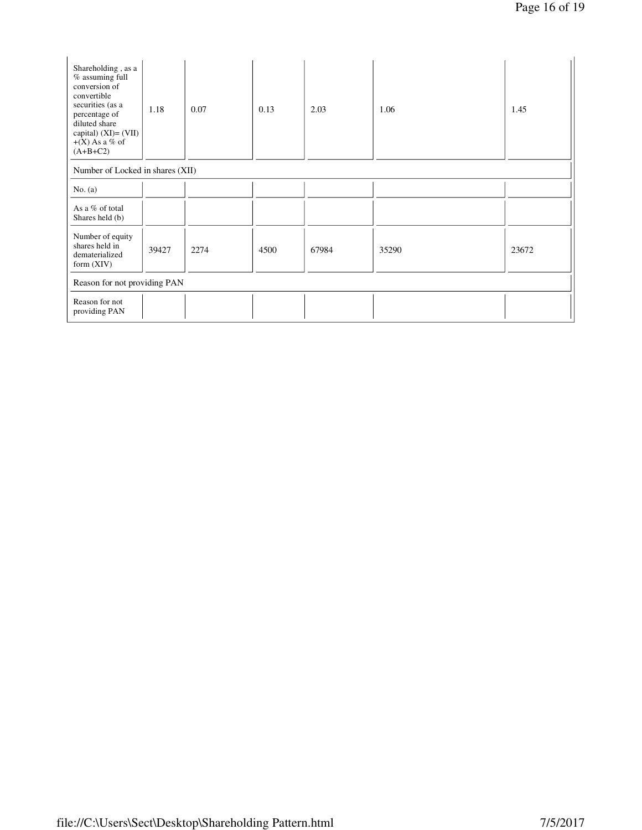| Shareholding, as a<br>% assuming full<br>conversion of<br>convertible<br>securities (as a<br>percentage of<br>diluted share<br>capital) $(XI) = (VII)$<br>$+(X)$ As a % of<br>$(A+B+C2)$ | 1.18  | 0.07 | 0.13 | 2.03  | 1.06  | 1.45  |
|------------------------------------------------------------------------------------------------------------------------------------------------------------------------------------------|-------|------|------|-------|-------|-------|
| Number of Locked in shares (XII)                                                                                                                                                         |       |      |      |       |       |       |
| No. $(a)$                                                                                                                                                                                |       |      |      |       |       |       |
| As a % of total<br>Shares held (b)                                                                                                                                                       |       |      |      |       |       |       |
| Number of equity<br>shares held in<br>dematerialized<br>form $(XIV)$                                                                                                                     | 39427 | 2274 | 4500 | 67984 | 35290 | 23672 |
| Reason for not providing PAN                                                                                                                                                             |       |      |      |       |       |       |
| Reason for not<br>providing PAN                                                                                                                                                          |       |      |      |       |       |       |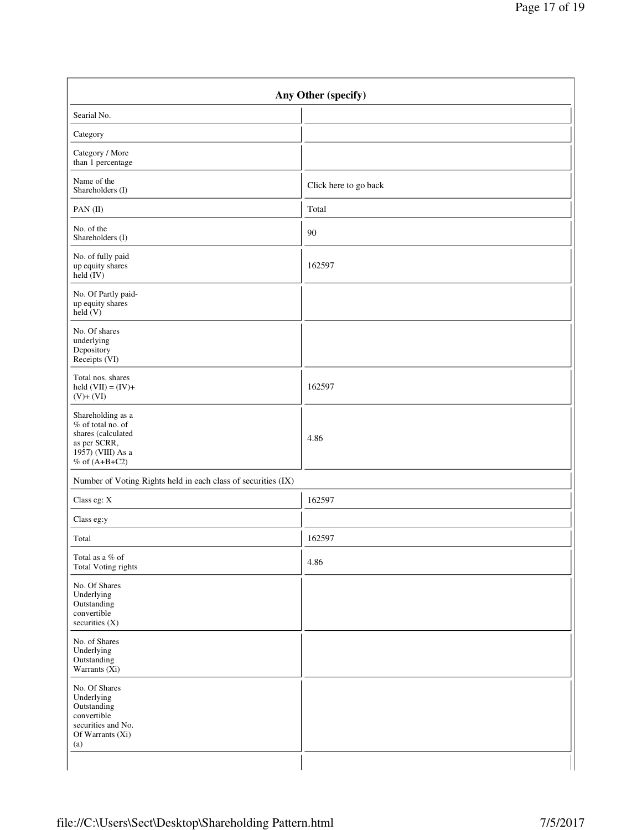| Any Other (specify)                                                                                                  |                       |  |  |
|----------------------------------------------------------------------------------------------------------------------|-----------------------|--|--|
| Searial No.                                                                                                          |                       |  |  |
| Category                                                                                                             |                       |  |  |
| Category / More<br>than 1 percentage                                                                                 |                       |  |  |
| Name of the<br>Shareholders (I)                                                                                      | Click here to go back |  |  |
| PAN(II)                                                                                                              | Total                 |  |  |
| No. of the<br>Shareholders (I)                                                                                       | 90                    |  |  |
| No. of fully paid<br>up equity shares<br>held (IV)                                                                   | 162597                |  |  |
| No. Of Partly paid-<br>up equity shares<br>held(V)                                                                   |                       |  |  |
| No. Of shares<br>underlying<br>Depository<br>Receipts (VI)                                                           |                       |  |  |
| Total nos. shares<br>held $(VII) = (IV) +$<br>$(V)+ (VI)$                                                            | 162597                |  |  |
| Shareholding as a<br>% of total no. of<br>shares (calculated<br>as per SCRR,<br>1957) (VIII) As a<br>% of $(A+B+C2)$ | 4.86                  |  |  |
| Number of Voting Rights held in each class of securities (IX)                                                        |                       |  |  |
| Class eg: X                                                                                                          | 162597                |  |  |
| Class eg:y                                                                                                           |                       |  |  |
| Total                                                                                                                | 162597                |  |  |
| Total as a % of<br>Total Voting rights                                                                               | 4.86                  |  |  |
| No. Of Shares<br>Underlying<br>Outstanding<br>convertible<br>securities (X)                                          |                       |  |  |
| No. of Shares<br>Underlying<br>Outstanding<br>Warrants (Xi)                                                          |                       |  |  |
| No. Of Shares<br>Underlying<br>Outstanding<br>convertible<br>securities and No.<br>Of Warrants (Xi)<br>(a)           |                       |  |  |
|                                                                                                                      |                       |  |  |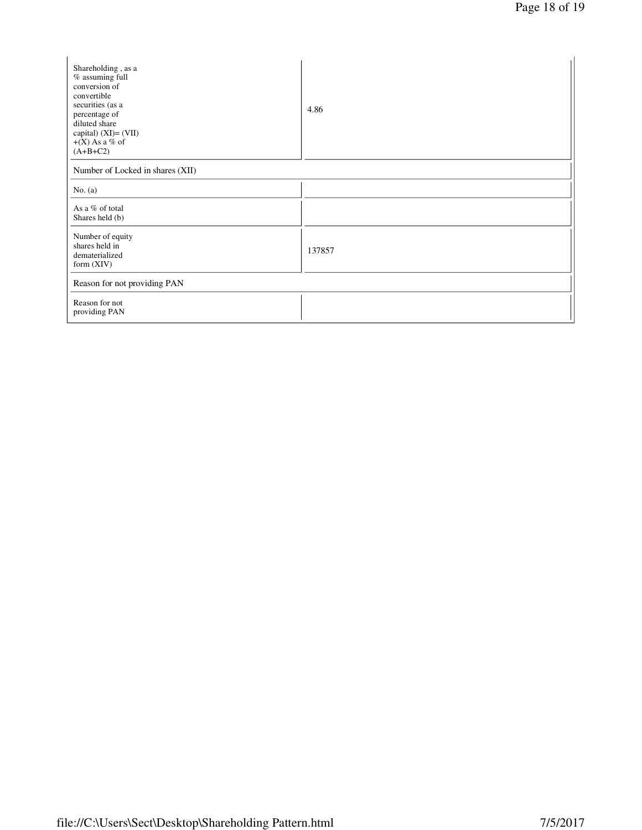| Shareholding, as a<br>% assuming full<br>conversion of<br>convertible<br>securities (as a<br>percentage of<br>diluted share<br>capital) (XI)= (VII)<br>$+(X)$ As a % of<br>$(A+B+C2)$ | 4.86   |  |  |
|---------------------------------------------------------------------------------------------------------------------------------------------------------------------------------------|--------|--|--|
| Number of Locked in shares (XII)                                                                                                                                                      |        |  |  |
| No. $(a)$                                                                                                                                                                             |        |  |  |
| As a % of total<br>Shares held (b)                                                                                                                                                    |        |  |  |
| Number of equity<br>shares held in<br>dematerialized<br>form $(XIV)$                                                                                                                  | 137857 |  |  |
| Reason for not providing PAN                                                                                                                                                          |        |  |  |
| Reason for not<br>providing PAN                                                                                                                                                       |        |  |  |